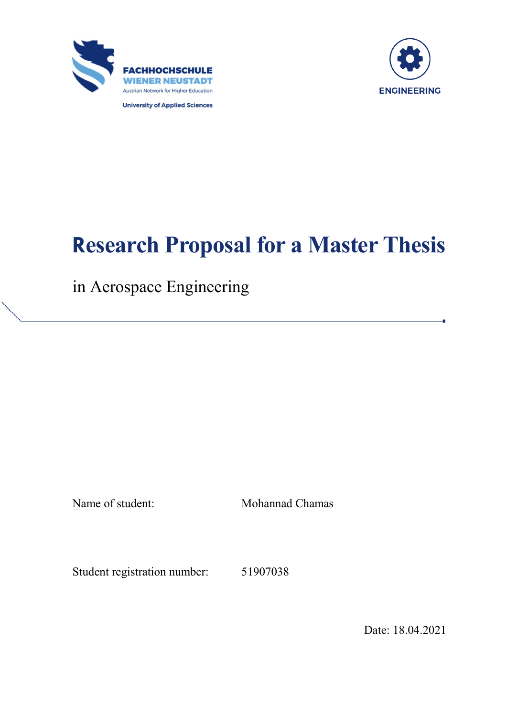



**University of Applied Sciences** 

# **Research Proposal for a Master Thesis**

in Aerospace Engineering

Name of student: Mohannad Chamas

Student registration number: 51907038

Date: 18.04.2021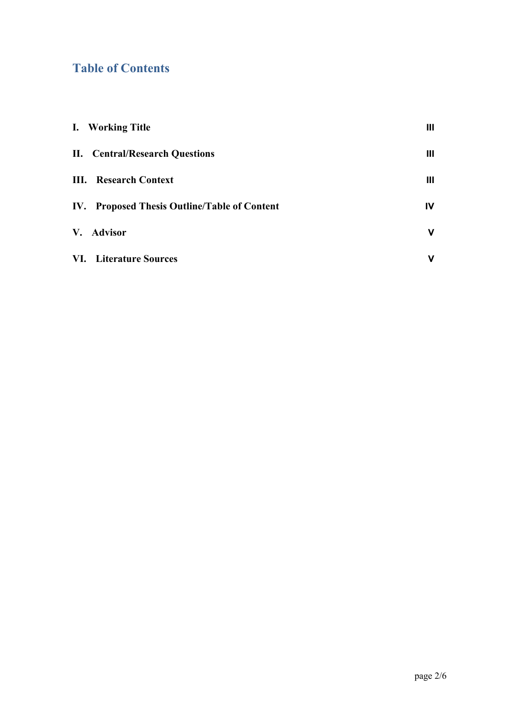## **Table of Contents**

| I. Working Title                             | Ш  |
|----------------------------------------------|----|
| <b>II.</b> Central/Research Questions        | Ш  |
| <b>III.</b> Research Context                 | Ш  |
| IV. Proposed Thesis Outline/Table of Content | IV |
| V. Advisor                                   | v  |
| <b>VI.</b> Literature Sources                | v  |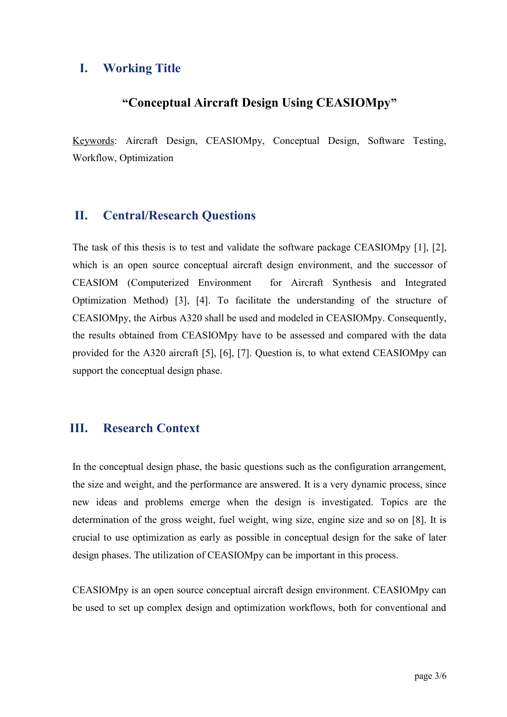## <span id="page-2-0"></span>**I. Working Title**

## **"Conceptual Aircraft Design Using CEASIOMpy"**

Keywords: Aircraft Design, CEASIOMpy, Conceptual Design, Software Testing, Workflow, Optimization

#### <span id="page-2-1"></span>**II. Central/Research Questions**

The task of this thesis is to test and validate the software package CEASIOMpy [1], [2], which is an open source conceptual aircraft design environment, and the successor of CEASIOM (Computerized Environment for Aircraft Synthesis and Integrated Optimization Method) [3], [4]. To facilitate the understanding of the structure of CEASIOMpy, the Airbus A320 shall be used and modeled in CEASIOMpy. Consequently, the results obtained from CEASIOMpy have to be assessed and compared with the data provided for the A320 aircraft [5], [6], [7]. Question is, to what extend CEASIOMpy can support the conceptual design phase.

### <span id="page-2-2"></span>**III. Research Context**

In the conceptual design phase, the basic questions such as the configuration arrangement, the size and weight, and the performance are answered. It is a very dynamic process, since new ideas and problems emerge when the design is investigated. Topics are the determination of the gross weight, fuel weight, wing size, engine size and so on [8]. It is crucial to use optimization as early as possible in conceptual design for the sake of later design phases. The utilization of CEASIOMpy can be important in this process.

CEASIOMpy is an open source conceptual aircraft design environment. CEASIOMpy can be used to set up complex design and optimization workflows, both for conventional and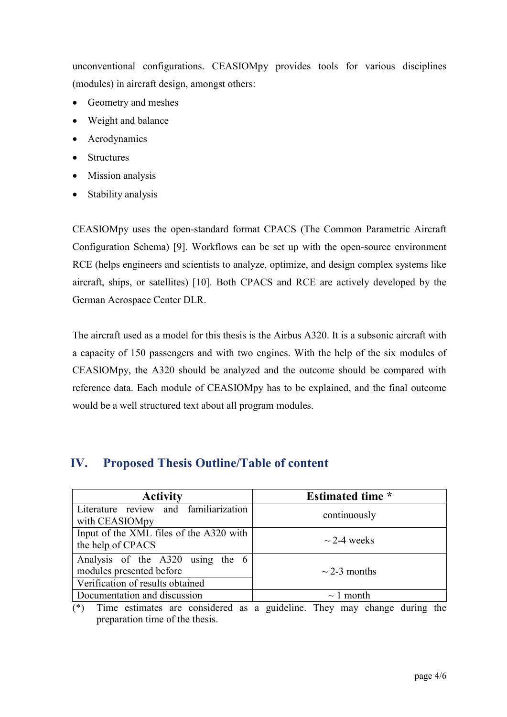unconventional configurations. CEASIOMpy provides tools for various disciplines (modules) in aircraft design, amongst others:

- Geometry and meshes
- Weight and balance
- Aerodynamics
- Structures
- Mission analysis
- Stability analysis

CEASIOMpy uses the open-standard format CPACS (The Common Parametric Aircraft Configuration Schema) [9]. Workflows can be set up with the open-source environment RCE (helps engineers and scientists to analyze, optimize, and design complex systems like aircraft, ships, or satellites) [10]. Both CPACS and RCE are actively developed by the German Aerospace Center DLR.

The aircraft used as a model for this thesis is the Airbus A320. It is a subsonic aircraft with a capacity of 150 passengers and with two engines. With the help of the six modules of CEASIOMpy, the A320 should be analyzed and the outcome should be compared with reference data. Each module of CEASIOMpy has to be explained, and the final outcome would be a well structured text about all program modules.

## <span id="page-3-0"></span>**IV. Proposed Thesis Outline/Table of content**

| <b>Activity</b>                         | <b>Estimated time</b> * |
|-----------------------------------------|-------------------------|
| Literature review and familiarization   | continuously            |
| with CEASIOMpy                          |                         |
| Input of the XML files of the A320 with | $\sim$ 2-4 weeks        |
| the help of CPACS                       |                         |
| Analysis of the A320 using the 6        | $\sim$ 2-3 months       |
| modules presented before                |                         |
| Verification of results obtained        |                         |
| Documentation and discussion            | $\sim$ 1 month          |

(\*) Time estimates are considered as a guideline. They may change during the preparation time of the thesis.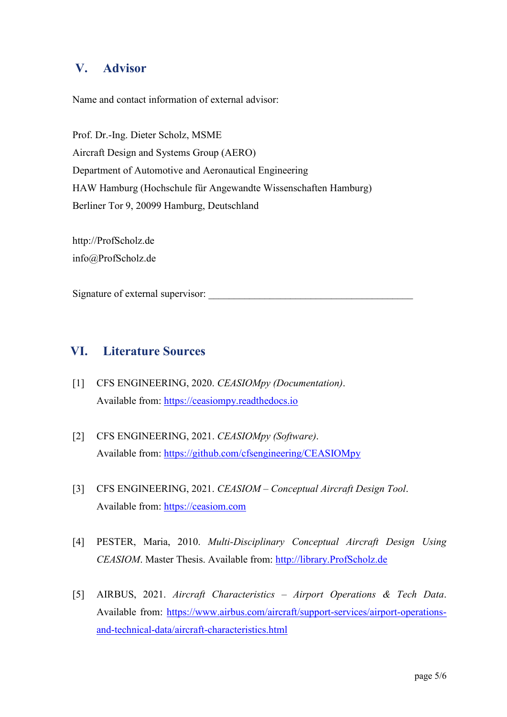## <span id="page-4-0"></span>**V. Advisor**

Name and contact information of external advisor:

Prof. Dr.-Ing. Dieter Scholz, MSME Aircraft Design and Systems Group (AERO) Department of Automotive and Aeronautical Engineering HAW Hamburg (Hochschule für Angewandte Wissenschaften Hamburg) Berliner Tor 9, 20099 Hamburg, Deutschland

http://ProfScholz.de info@ProfScholz.de

Signature of external supervisor:

## <span id="page-4-1"></span>**VI. Literature Sources**

- [1] CFS ENGINEERING, 2020. *CEASIOMpy (Documentation)*. Available from: [https://ceasiompy.readthedocs.io](https://ceasiompy.readthedocs.io/)
- [2] CFS ENGINEERING, 2021. *CEASIOMpy (Software)*. Available from:<https://github.com/cfsengineering/CEASIOMpy>
- [3] CFS ENGINEERING, 2021. *CEASIOM Conceptual Aircraft Design Tool.* Available from: [https://ceasiom.com](https://ceasiom.com/)
- [4] PESTER, Maria, 2010. *Multi-Disciplinary Conceptual Aircraft Design Using CEASIOM*. Master Thesis. Available from: [http://library.ProfScholz.de](http://library.profscholz.de/)
- [5] AIRBUS, 2021. *Aircraft Characteristics – Airport Operations & Tech Data*. Available from: [https://www.airbus.com/aircraft/support-services/airport-operations](https://www.airbus.com/aircraft/support-services/airport-operations-and-technical-data/aircraft-characteristics.html)[and-technical-data/aircraft-characteristics.html](https://www.airbus.com/aircraft/support-services/airport-operations-and-technical-data/aircraft-characteristics.html)